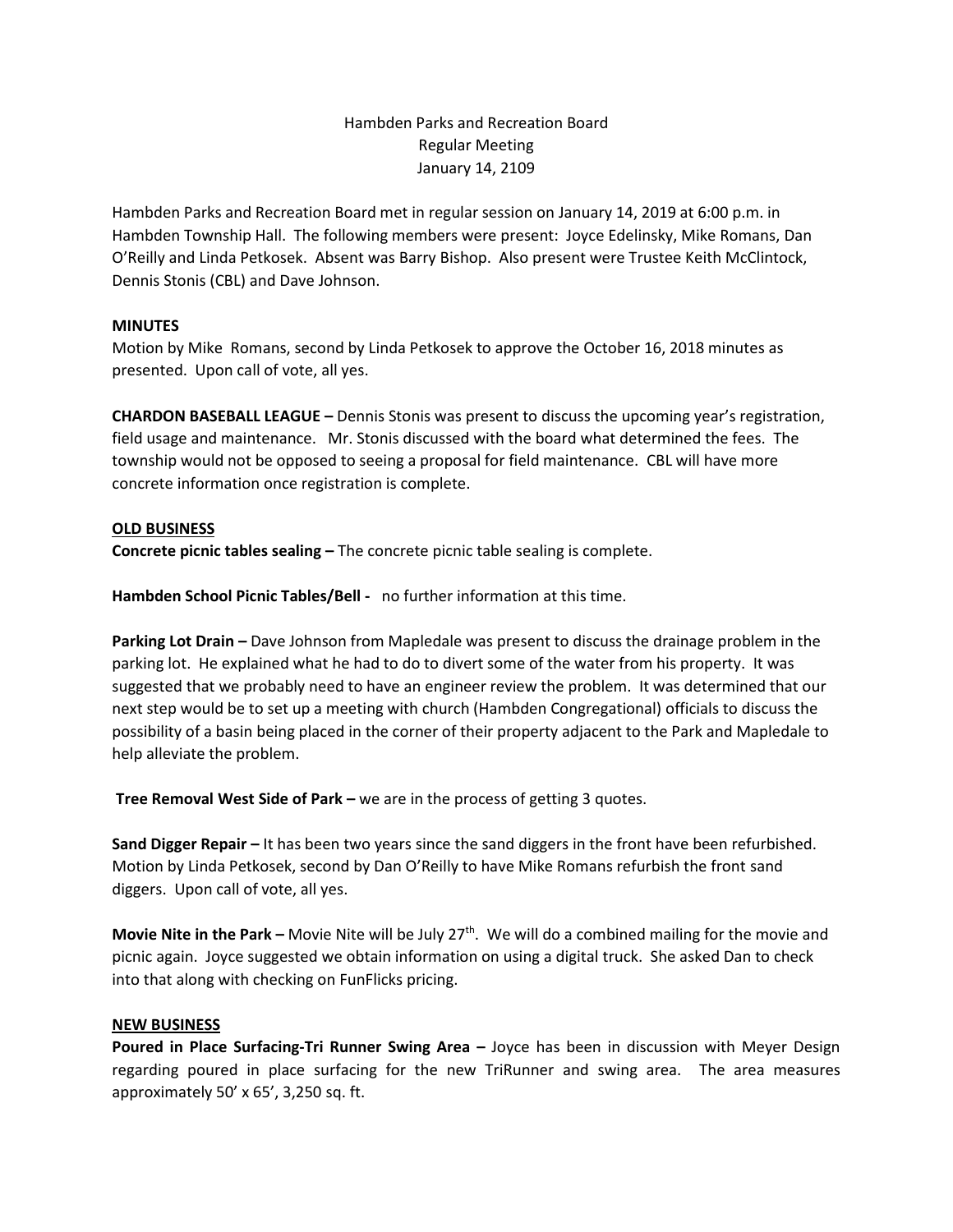## Hambden Parks and Recreation Board Regular Meeting January 14, 2109

Hambden Parks and Recreation Board met in regular session on January 14, 2019 at 6:00 p.m. in Hambden Township Hall. The following members were present: Joyce Edelinsky, Mike Romans, Dan O'Reilly and Linda Petkosek. Absent was Barry Bishop. Also present were Trustee Keith McClintock, Dennis Stonis (CBL) and Dave Johnson.

## **MINUTES**

Motion by Mike Romans, second by Linda Petkosek to approve the October 16, 2018 minutes as presented. Upon call of vote, all yes.

**CHARDON BASEBALL LEAGUE –** Dennis Stonis was present to discuss the upcoming year's registration, field usage and maintenance. Mr. Stonis discussed with the board what determined the fees. The township would not be opposed to seeing a proposal for field maintenance. CBL will have more concrete information once registration is complete.

## **OLD BUSINESS**

**Concrete picnic tables sealing –** The concrete picnic table sealing is complete.

**Hambden School Picnic Tables/Bell -** no further information at this time.

**Parking Lot Drain –** Dave Johnson from Mapledale was present to discuss the drainage problem in the parking lot. He explained what he had to do to divert some of the water from his property. It was suggested that we probably need to have an engineer review the problem. It was determined that our next step would be to set up a meeting with church (Hambden Congregational) officials to discuss the possibility of a basin being placed in the corner of their property adjacent to the Park and Mapledale to help alleviate the problem.

**Tree Removal West Side of Park –** we are in the process of getting 3 quotes.

**Sand Digger Repair –** It has been two years since the sand diggers in the front have been refurbished. Motion by Linda Petkosek, second by Dan O'Reilly to have Mike Romans refurbish the front sand diggers. Upon call of vote, all yes.

**Movie Nite in the Park –** Movie Nite will be July 27<sup>th</sup>. We will do a combined mailing for the movie and picnic again. Joyce suggested we obtain information on using a digital truck. She asked Dan to check into that along with checking on FunFlicks pricing.

## **NEW BUSINESS**

**Poured in Place Surfacing-Tri Runner Swing Area –** Joyce has been in discussion with Meyer Design regarding poured in place surfacing for the new TriRunner and swing area. The area measures approximately 50' x 65', 3,250 sq. ft.